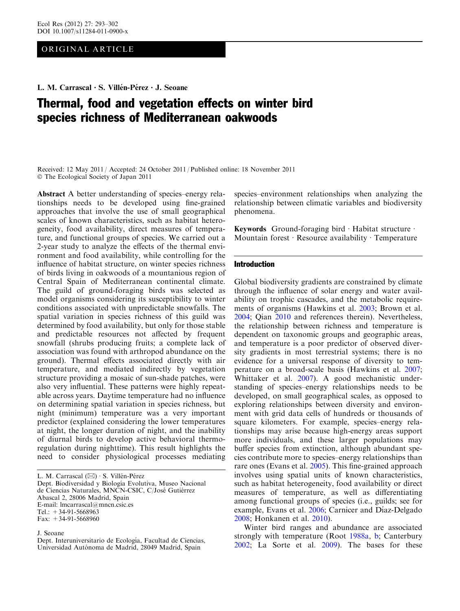# ORIGINAL ARTICLE

L. M. Carrascal · S. Villén-Pérez · J. Seoane

# Thermal, food and vegetation effects on winter bird species richness of Mediterranean oakwoods

Received: 12 May 2011 / Accepted: 24 October 2011 / Published online: 18 November 2011 - The Ecological Society of Japan 2011

Abstract A better understanding of species–energy relationships needs to be developed using fine-grained approaches that involve the use of small geographical scales of known characteristics, such as habitat heterogeneity, food availability, direct measures of temperature, and functional groups of species. We carried out a 2-year study to analyze the effects of the thermal environment and food availability, while controlling for the influence of habitat structure, on winter species richness of birds living in oakwoods of a mountanious region of Central Spain of Mediterranean continental climate. The guild of ground-foraging birds was selected as model organisms considering its susceptibility to winter conditions associated with unpredictable snowfalls. The spatial variation in species richness of this guild was determined by food availability, but only for those stable and predictable resources not affected by frequent snowfall (shrubs producing fruits; a complete lack of association was found with arthropod abundance on the ground). Thermal effects associated directly with air temperature, and mediated indirectly by vegetation structure providing a mosaic of sun-shade patches, were also very influential. These patterns were highly repeatable across years. Daytime temperature had no influence on determining spatial variation in species richness, but night (minimum) temperature was a very important predictor (explained considering the lower temperatures at night, the longer duration of night, and the inability of diurnal birds to develop active behavioral thermoregulation during nighttime). This result highlights the need to consider physiological processes mediating

Dept. Biodiversidad y Biología Evolutiva, Museo Nacional

de Ciencias Naturales, MNCN-CSIC, C/José Gutiérrez

Abascal 2, 28006 Madrid, Spain

E-mail: lmcarrascal@mncn.csic.es

Fax: +34-91-5668960

J. Seoane

species–environment relationships when analyzing the relationship between climatic variables and biodiversity phenomena.

Keywords Ground-foraging bird  $\cdot$  Habitat structure  $\cdot$ Mountain forest  $\cdot$  Resource availability  $\cdot$  Temperature

#### Introduction

Global biodiversity gradients are constrained by climate through the influence of solar energy and water availability on trophic cascades, and the metabolic requirements of organisms (Hawkins et al. [2003](#page-9-0); Brown et al. [2004;](#page-8-0) Qian [2010](#page-9-0) and references therein). Nevertheless, the relationship between richness and temperature is dependent on taxonomic groups and geographic areas, and temperature is a poor predictor of observed diversity gradients in most terrestrial systems; there is no evidence for a universal response of diversity to temperature on a broad-scale basis (Hawkins et al. [2007](#page-9-0); Whittaker et al. [2007\)](#page-9-0). A good mechanistic understanding of species–energy relationships needs to be developed, on small geographical scales, as opposed to exploring relationships between diversity and environment with grid data cells of hundreds or thousands of square kilometers. For example, species–energy relationships may arise because high-energy areas support more individuals, and these larger populations may buffer species from extinction, although abundant species contribute more to species–energy relationships than rare ones (Evans et al. [2005\)](#page-8-0). This fine-grained approach involves using spatial units of known characteristics, such as habitat heterogeneity, food availability or direct measures of temperature, as well as differentiating among functional groups of species (i.e., guilds; see for example, Evans et al. [2006;](#page-8-0) Carnicer and Díaz-Delgado [2008;](#page-8-0) Honkanen et al. [2010](#page-9-0)).

Winter bird ranges and abundance are associated strongly with temperature (Root [1988a,](#page-9-0) [b](#page-9-0); Canterbury [2002;](#page-8-0) La Sorte et al. [2009\)](#page-9-0). The bases for these

L. M. Carrascal  $(\boxtimes) \cdot$  S. Villén-Pérez

 $Tel: +34-91-5668963$ 

Dept. Interuniversitario de Ecología, Facultad de Ciencias, Universidad Autónoma de Madrid, 28049 Madrid, Spain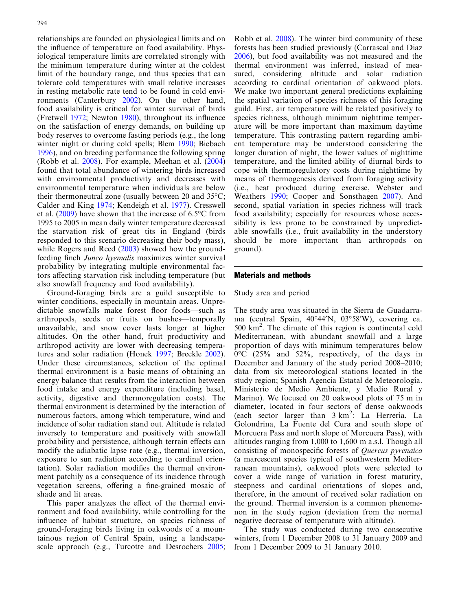relationships are founded on physiological limits and on the influence of temperature on food availability. Physiological temperature limits are correlated strongly with the minimum temperature during winter at the coldest limit of the boundary range, and thus species that can tolerate cold temperatures with small relative increases in resting metabolic rate tend to be found in cold environments (Canterbury [2002\)](#page-8-0). On the other hand, food availability is critical for winter survival of birds (Fretwell [1972](#page-8-0); Newton [1980\)](#page-9-0), throughout its influence on the satisfaction of energy demands, on building up body reserves to overcome fasting periods (e.g., the long winter night or during cold spells; Blem [1990;](#page-8-0) Biebach [1996](#page-8-0)), and on breeding performance the following spring (Robb et al. [2008\)](#page-9-0). For example, Meehan et al. [\(2004\)](#page-9-0) found that total abundance of wintering birds increased with environmental productivity and decreases with environmental temperature when individuals are below their thermoneutral zone (usually between 20 and  $35^{\circ}$ C; Calder and King [1974](#page-8-0); Kendeigh et al. [1977\)](#page-9-0). Cresswell et al.  $(2009)$  $(2009)$  $(2009)$  have shown that the increase of 6.5°C from 1995 to 2005 in mean daily winter temperature decreased the starvation risk of great tits in England (birds responded to this scenario decreasing their body mass), while Rogers and Reed [\(2003\)](#page-9-0) showed how the groundfeeding finch Junco hyemalis maximizes winter survival probability by integrating multiple environmental factors affecting starvation risk including temperature (but also snowfall frequency and food availability).

Ground-foraging birds are a guild susceptible to winter conditions, especially in mountain areas. Unpredictable snowfalls make forest floor foods—such as arthropods, seeds or fruits on bushes—temporally unavailable, and snow cover lasts longer at higher altitudes. On the other hand, fruit productivity and arthropod activity are lower with decreasing temperatures and solar radiation (Honek [1997;](#page-9-0) Breckle [2002\)](#page-8-0). Under these circumstances, selection of the optimal thermal environment is a basic means of obtaining an energy balance that results from the interaction between food intake and energy expenditure (including basal, activity, digestive and thermoregulation costs). The thermal environment is determined by the interaction of numerous factors, among which temperature, wind and incidence of solar radiation stand out. Altitude is related inversely to temperature and positively with snowfall probability and persistence, although terrain effects can modify the adiabatic lapse rate (e.g., thermal inversion, exposure to sun radiation according to cardinal orientation). Solar radiation modifies the thermal environment patchily as a consequence of its incidence through vegetation screens, offering a fine-grained mosaic of shade and lit areas.

This paper analyzes the effect of the thermal environment and food availability, while controlling for the influence of habitat structure, on species richness of ground-foraging birds living in oakwoods of a mountainous region of Central Spain, using a landscapescale approach (e.g., Turcotte and Desrochers [2005](#page-9-0);

Robb et al. [2008](#page-9-0)). The winter bird community of these forests has been studied previously (Carrascal and Diaz [2006\)](#page-8-0), but food availability was not measured and the thermal environment was inferred, instead of measured, considering altitude and solar radiation according to cardinal orientation of oakwood plots. We make two important general predictions explaining the spatial variation of species richness of this foraging guild. First, air temperature will be related positively to species richness, although minimum nighttime temperature will be more important than maximum daytime temperature. This contrasting pattern regarding ambient temperature may be understood considering the longer duration of night, the lower values of nighttime temperature, and the limited ability of diurnal birds to cope with thermoregulatory costs during nighttime by means of thermogenesis derived from foraging activity (i.e., heat produced during exercise, Webster and Weathers [1990](#page-9-0); Cooper and Sonsthagen [2007\)](#page-8-0). And second, spatial variation in species richness will track food availability; especially for resources whose accessibility is less prone to be constrained by unpredictable snowfalls (i.e., fruit availability in the understory should be more important than arthropods on ground).

## Materials and methods

#### Study area and period

The study area was situated in the Sierra de Guadarrama (central Spain,  $40^{\circ}44'N$ ,  $03^{\circ}58'W$ ), covering ca. 500 km<sup>2</sup> . The climate of this region is continental cold Mediterranean, with abundant snowfall and a large proportion of days with minimum temperatures below  $0^{\circ}$ C (25% and 52%, respectively, of the days in December and January of the study period 2008–2010; data from six meteorological stations located in the study region; Spanish Agencia Estatal de Meteorología. Ministerio de Medio Ambiente, y Medio Rural y Marino). We focused on 20 oakwood plots of 75 m in diameter, located in four sectors of dense oakwoods (each sector larger than 3 km<sup>2</sup>: La Herrería, La Golondrina, La Fuente del Cura and south slope of Morcuera Pass and north slope of Morcuera Pass), with altitudes ranging from 1,000 to 1,600 m a.s.l. Though all consisting of monospecific forests of Quercus pyrenaica (a marcescent species typical of southwestern Mediterranean mountains), oakwood plots were selected to cover a wide range of variation in forest maturity, steepness and cardinal orientations of slopes and, therefore, in the amount of received solar radiation on the ground. Thermal inversion is a common phenomenon in the study region (deviation from the normal negative decrease of temperature with altitude).

The study was conducted during two consecutive winters, from 1 December 2008 to 31 January 2009 and from 1 December 2009 to 31 January 2010.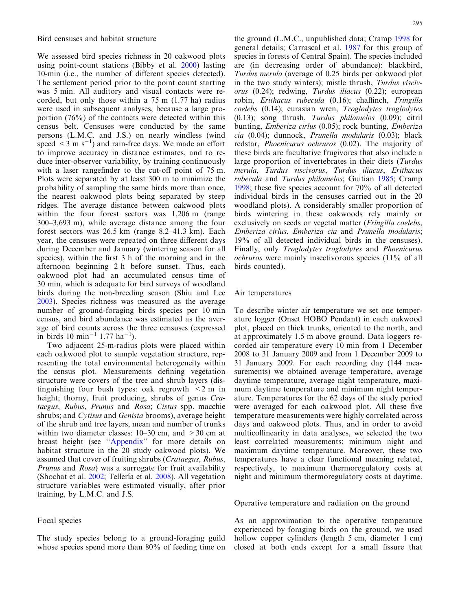We assessed bird species richness in 20 oakwood plots using point-count stations (Bibby et al. [2000\)](#page-8-0) lasting 10-min (i.e., the number of different species detected). The settlement period prior to the point count starting was 5 min. All auditory and visual contacts were recorded, but only those within a 75 m (1.77 ha) radius were used in subsequent analyses, because a large proportion (76%) of the contacts were detected within this census belt. Censuses were conducted by the same persons (L.M.C. and J.S.) on nearly windless (wind speed  $\langle 3 \text{ m s}^{-1} \rangle$  and rain-free days. We made an effort to improve accuracy in distance estimates, and to reduce inter-observer variability, by training continuously with a laser rangefinder to the cut-off point of 75 m. Plots were separated by at least 300 m to minimize the probability of sampling the same birds more than once, the nearest oakwood plots being separated by steep ridges. The average distance between oakwood plots within the four forest sectors was 1,206 m (range 300–3,693 m), while average distance among the four forest sectors was 26.5 km (range 8.2–41.3 km). Each year, the censuses were repeated on three different days during December and January (wintering season for all species), within the first 3 h of the morning and in the afternoon beginning 2 h before sunset. Thus, each oakwood plot had an accumulated census time of 30 min, which is adequate for bird surveys of woodland birds during the non-breeding season (Shiu and Lee [2003](#page-9-0)). Species richness was measured as the average number of ground-foraging birds species per 10 min census, and bird abundance was estimated as the average of bird counts across the three censuses (expressed in birds  $10 \text{ min}^{-1}$  1.77 ha<sup>-1</sup>).

Two adjacent 25-m-radius plots were placed within each oakwood plot to sample vegetation structure, representing the total environmental heterogeneity within the census plot. Measurements defining vegetation structure were covers of the tree and shrub layers (distinguishing four bush types: oak regrowth  $\leq 2$  m in height; thorny, fruit producing, shrubs of genus *Cra*taegus, Rubus, Prunus and Rosa; Cistus spp. macchie shrubs; and *Cytisus* and *Genista* brooms), average height of the shrub and tree layers, mean and number of trunks within two diameter classes:  $10-30$  cm, and  $>30$  cm at breast height (see '['Appendix](#page-7-0)'' for more details on habitat structure in the 20 study oakwood plots). We assumed that cover of fruiting shrubs (Crataegus, Rubus, Prunus and Rosa) was a surrogate for fruit availability (Shochat et al. [2002;](#page-9-0) Tellería et al. [2008](#page-9-0)). All vegetation structure variables were estimated visually, after prior training, by L.M.C. and J.S.

## Focal species

The study species belong to a ground-foraging guild whose species spend more than 80% of feeding time on

the ground (L.M.C., unpublished data; Cramp [1998](#page-8-0) for general details; Carrascal et al. [1987](#page-8-0) for this group of species in forests of Central Spain). The species included are (in decreasing order of abundance): blackbird, Turdus merula (average of 0.25 birds per oakwood plot in the two study winters); mistle thrush, Turdus viscivorus (0.24); redwing, Turdus iliacus (0.22); european robin, Erithacus rubecula (0.16); chaffinch, Fringilla coelebs (0.14); eurasian wren, Troglodytes troglodytes (0.13); song thrush, Turdus philomelos (0.09); citril bunting, Emberiza cirlus (0.05); rock bunting, Emberiza cia (0.04); dunnock, Prunella modularis (0.03); black redstar, Phoenicurus ochruros (0.02). The majority of these birds are facultative frugivores that also include a large proportion of invertebrates in their diets (Turdus merula, Turdus viscivorus, Turdus iliacus, Erithacus rubecula and Turdus philomelos; Guitian [1985](#page-8-0); Cramp [1998;](#page-8-0) these five species account for 70% of all detected individual birds in the censuses carried out in the 20 woodland plots). A considerably smaller proportion of birds wintering in these oakwoods rely mainly or exclusively on seeds or vegetal matter (Fringilla coelebs, Emberiza cirlus, Emberiza cia and Prunella modularis; 19% of all detected individual birds in the censuses). Finally, only Troglodytes troglodytes and Phoenicurus ochruros were mainly insectivorous species (11% of all birds counted).

#### Air temperatures

To describe winter air temperature we set one temperature logger (Onset HOBO Pendant) in each oakwood plot, placed on thick trunks, oriented to the north, and at approximately 1.5 m above ground. Data loggers recorded air temperature every 10 min from 1 December 2008 to 31 January 2009 and from 1 December 2009 to 31 January 2009. For each recording day (144 measurements) we obtained average temperature, average daytime temperature, average night temperature, maximum daytime temperature and minimum night temperature. Temperatures for the 62 days of the study period were averaged for each oakwood plot. All these five temperature measurements were highly correlated across days and oakwood plots. Thus, and in order to avoid multicollinearity in data analyses, we selected the two least correlated measurements: minimum night and maximum daytime temperature. Moreover, these two temperatures have a clear functional meaning related, respectively, to maximum thermoregulatory costs at night and minimum thermoregulatory costs at daytime.

# Operative temperature and radiation on the ground

As an approximation to the operative temperature experienced by foraging birds on the ground, we used hollow copper cylinders (length 5 cm, diameter 1 cm) closed at both ends except for a small fissure that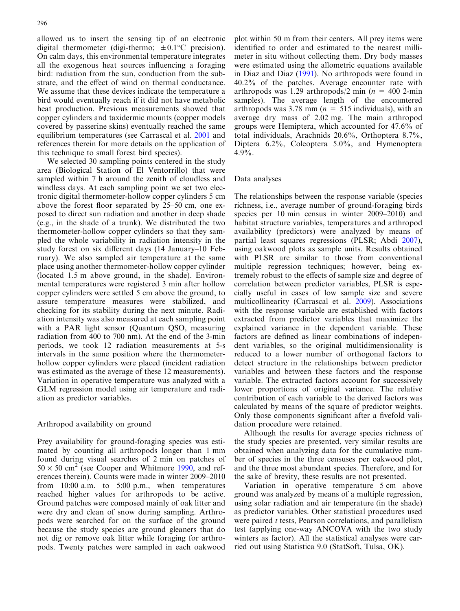allowed us to insert the sensing tip of an electronic digital thermometer (digi-thermo;  $\pm 0.1^{\circ}$ C precision). On calm days, this environmental temperature integrates all the exogenous heat sources influencing a foraging bird: radiation from the sun, conduction from the substrate, and the effect of wind on thermal conductance. We assume that these devices indicate the temperature a bird would eventually reach if it did not have metabolic heat production. Previous measurements showed that copper cylinders and taxidermic mounts (copper models covered by passerine skins) eventually reached the same equilibrium temperatures (see Carrascal et al. [2001](#page-8-0) and references therein for more details on the application of this technique to small forest bird species).

We selected 30 sampling points centered in the study area (Biological Station of El Ventorrillo) that were sampled within 7 h around the zenith of cloudless and windless days. At each sampling point we set two electronic digital thermometer-hollow copper cylinders 5 cm above the forest floor separated by 25–50 cm, one exposed to direct sun radiation and another in deep shade (e.g., in the shade of a trunk). We distributed the two thermometer-hollow copper cylinders so that they sampled the whole variability in radiation intensity in the study forest on six different days (14 January–10 February). We also sampled air temperature at the same place using another thermometer-hollow copper cylinder (located 1.5 m above ground, in the shade). Environmental temperatures were registered 3 min after hollow copper cylinders were settled 5 cm above the ground, to assure temperature measures were stabilized, and checking for its stability during the next minute. Radiation intensity was also measured at each sampling point with a PAR light sensor (Quantum QSO, measuring radiation from 400 to 700 nm). At the end of the 3-min periods, we took 12 radiation measurements at 5-s intervals in the same position where the thermometerhollow copper cylinders were placed (incident radiation was estimated as the average of these 12 measurements). Variation in operative temperature was analyzed with a GLM regression model using air temperature and radiation as predictor variables.

# Arthropod availability on ground

Prey availability for ground-foraging species was estimated by counting all arthropods longer than 1 mm found during visual searches of 2 min on patches of  $50 \times 50$  cm<sup>2</sup> (see Cooper and Whitmore [1990,](#page-8-0) and references therein). Counts were made in winter 2009–2010 from 10:00 a.m. to 5:00 p.m., when temperatures reached higher values for arthropods to be active. Ground patches were composed mainly of oak litter and were dry and clean of snow during sampling. Arthropods were searched for on the surface of the ground because the study species are ground gleaners that do not dig or remove oak litter while foraging for arthropods. Twenty patches were sampled in each oakwood

plot within 50 m from their centers. All prey items were identified to order and estimated to the nearest millimeter in situ without collecting them. Dry body masses were estimated using the allometric equations available in Diaz and Diaz ([1991\)](#page-8-0). No arthropods were found in 40.2% of the patches. Average encounter rate with arthropods was 1.29 arthropods/2 min ( $n = 400$  2-min samples). The average length of the encountered arthropods was 3.78 mm ( $n = 515$  individuals), with an average dry mass of 2.02 mg. The main arthropod groups were Hemiptera, which accounted for 47.6% of total individuals, Arachnids 20.6%, Orthoptera 8.7%, Diptera 6.2%, Coleoptera 5.0%, and Hymenoptera 4.9%.

#### Data analyses

The relationships between the response variable (species richness, i.e., average number of ground-foraging birds species per 10 min census in winter 2009–2010) and habitat structure variables, temperatures and arthropod availability (predictors) were analyzed by means of partial least squares regressions (PLSR; Abdi [2007\)](#page-8-0), using oakwood plots as sample units. Results obtained with PLSR are similar to those from conventional multiple regression techniques; however, being extremely robust to the effects of sample size and degree of correlation between predictor variables, PLSR is especially useful in cases of low sample size and severe multicollinearity (Carrascal et al. [2009\)](#page-8-0). Associations with the response variable are established with factors extracted from predictor variables that maximize the explained variance in the dependent variable. These factors are defined as linear combinations of independent variables, so the original multidimensionality is reduced to a lower number of orthogonal factors to detect structure in the relationships between predictor variables and between these factors and the response variable. The extracted factors account for successively lower proportions of original variance. The relative contribution of each variable to the derived factors was calculated by means of the square of predictor weights. Only those components significant after a fivefold validation procedure were retained.

Although the results for average species richness of the study species are presented, very similar results are obtained when analyzing data for the cumulative number of species in the three censuses per oakwood plot, and the three most abundant species. Therefore, and for the sake of brevity, these results are not presented.

Variation in operative temperature 5 cm above ground was analyzed by means of a multiple regression, using solar radiation and air temperature (in the shade) as predictor variables. Other statistical procedures used were paired *t* tests, Pearson correlations, and parallelism test (applying one-way ANCOVA with the two study winters as factor). All the statistical analyses were carried out using Statistica 9.0 (StatSoft, Tulsa, OK).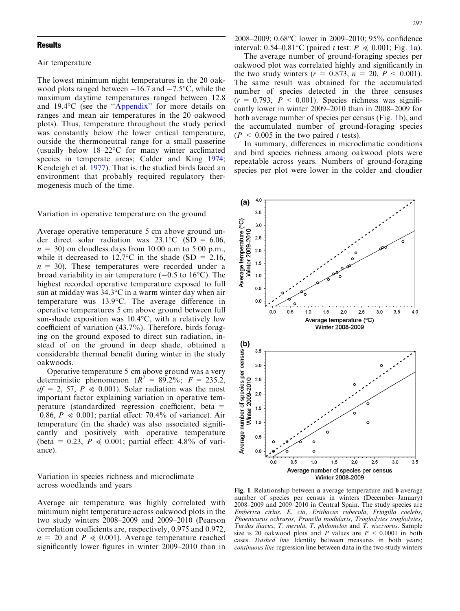## **Results**

## Air temperature

The lowest minimum night temperatures in the 20 oakwood plots ranged between  $-16.7$  and  $-7.5$ °C, while the maximum daytime temperatures ranged between 12.8 and 19.4°C (see the "Appendix" for more details on ranges and mean air temperatures in the 20 oakwood plots). Thus, temperature throughout the study period was constantly below the lower critical temperature, outside the thermoneutral range for a small passerine (usually below  $18-22$ °C for many winter acclimated species in temperate areas; Calder and King [1974](#page-8-0); Kendeigh et al. [1977\)](#page-9-0). That is, the studied birds faced an environment that probably required regulatory thermogenesis much of the time.

# Variation in operative temperature on the ground

Average operative temperature 5 cm above ground under direct solar radiation was  $23.1^{\circ}$ C (SD = 6.06,  $n = 30$ ) on cloudless days from 10:00 a.m to 5:00 p.m., while it decreased to 12.7°C in the shade (SD = 2.16,  $n = 30$ . These temperatures were recorded under a broad variability in air temperature  $(-0.5 \text{ to } 16^{\circ}\text{C})$ . The highest recorded operative temperature exposed to full sun at midday was  $34.3^{\circ}$ C in a warm winter day when air temperature was 13.9°C. The average difference in operative temperatures 5 cm above ground between full sun-shade exposition was  $10.4$ °C, with a relatively low coefficient of variation (43.7%). Therefore, birds foraging on the ground exposed to direct sun radiation, instead of on the ground in deep shade, obtained a considerable thermal benefit during winter in the study oakwoods.

Operative temperature 5 cm above ground was a very deterministic phenomenon  $(R^2 = 89.2\%; F = 235.2,$  $df = 2$ , 57,  $P \ll 0.001$ ). Solar radiation was the most important factor explaining variation in operative temperature (standardized regression coefficient, beta = 0.86,  $P \ll 0.001$ ; partial effect: 70.4% of variance). Air temperature (in the shade) was also associated significantly and positively with operative temperature (beta = 0.23,  $P \ll 0.001$ ; partial effect: 4.8% of variance).

# Variation in species richness and microclimate across woodlands and years

Average air temperature was highly correlated with minimum night temperature across oakwood plots in the two study winters 2008–2009 and 2009–2010 (Pearson correlation coefficients are, respectively, 0.975 and 0.972,  $n = 20$  and  $P \ll 0.001$ ). Average temperature reached significantly lower figures in winter 2009–2010 than in 2008–2009; 0.68°C lower in 2009–2010; 95% confidence interval: 0.54–0.81°C (paired t test:  $P \ll 0.001$ ; Fig. 1a).

The average number of ground-foraging species per oakwood plot was correlated highly and significantly in the two study winters  $(r = 0.873, n = 20, P < 0.001)$ . The same result was obtained for the accumulated number of species detected in the three censuses  $(r = 0.793, P < 0.001)$ . Species richness was significantly lower in winter 2009–2010 than in 2008–2009 for both average number of species per census (Fig. 1b), and the accumulated number of ground-foraging species  $(P < 0.005$  in the two paired t tests).

In summary, differences in microclimatic conditions and bird species richness among oakwood plots were repeatable across years. Numbers of ground-foraging species per plot were lower in the colder and cloudier



Fig. 1 Relationship between a average temperature and b average number of species per census in winters (December–January) 2008–2009 and 2009–2010 in Central Spain. The study species are Emberiza cirlus, E. cia, Erithacus rubecula, Fringilla coelebs, Phoenicurus ochruros, Prunella modularis, Troglodytes troglodytes, Turdus iliacus, T. merula, T. philomelos and T. viscivorus. Sample size is 20 oakwood plots and P values are  $P < 0.0001$  in both cases. Dashed line Identity between measures in both years; continuous line regression line between data in the two study winters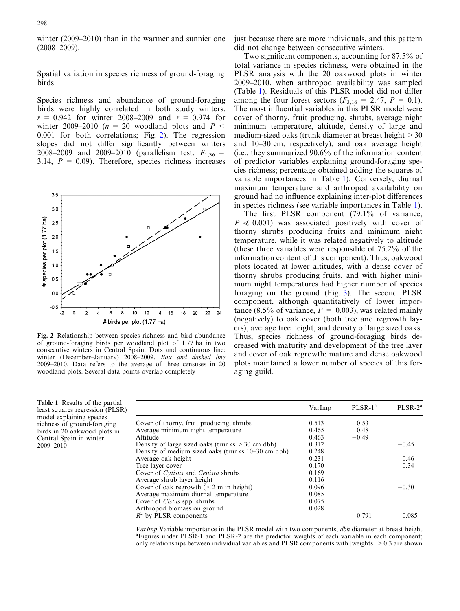<span id="page-5-0"></span>Spatial variation in species richness of ground-foraging birds

Species richness and abundance of ground-foraging birds were highly correlated in both study winters:  $r = 0.942$  for winter 2008–2009 and  $r = 0.974$  for winter 2009–2010 ( $n = 20$  woodland plots and  $P \leq$ 0.001 for both correlations; Fig. 2). The regression slopes did not differ significantly between winters 2008–2009 and 2009–2010 (parallelism test:  $F_{1,36}$  = 3.14,  $P = 0.09$ . Therefore, species richness increases



Fig. 2 Relationship between species richness and bird abundance of ground-foraging birds per woodland plot of 1.77 ha in two consecutive winters in Central Spain. Dots and continuous line: winter (December–January) 2008–2009. Box and dashed line 2009–2010. Data refers to the average of three censuses in 20 woodland plots. Several data points overlap completely

just because there are more individuals, and this pattern did not change between consecutive winters.

Two significant components, accounting for 87.5% of total variance in species richness, were obtained in the PLSR analysis with the 20 oakwood plots in winter 2009–2010, when arthropod availability was sampled (Table 1). Residuals of this PLSR model did not differ among the four forest sectors  $(F_{3,16} = 2.47, P = 0.1)$ . The most influential variables in this PLSR model were cover of thorny, fruit producing, shrubs, average night minimum temperature, altitude, density of large and medium-sized oaks (trunk diameter at breast height >30 and 10–30 cm, respectively), and oak average height (i.e., they summarized 90.6% of the information content of predictor variables explaining ground-foraging species richness; percentage obtained adding the squares of variable importances in Table 1). Conversely, diurnal maximum temperature and arthropod availability on ground had no influence explaining inter-plot differences in species richness (see variable importances in Table 1).

The first PLSR component (79.1% of variance,  $P \ll 0.001$ ) was associated positively with cover of thorny shrubs producing fruits and minimum night temperature, while it was related negatively to altitude (these three variables were responsible of 75.2% of the information content of this component). Thus, oakwood plots located at lower altitudes, with a dense cover of thorny shrubs producing fruits, and with higher minimum night temperatures had higher number of species foraging on the ground (Fig. [3\)](#page-6-0). The second PLSR component, although quantitatively of lower importance (8.5% of variance,  $P = 0.003$ ), was related mainly (negatively) to oak cover (both tree and regrowth layers), average tree height, and density of large sized oaks. Thus, species richness of ground-foraging birds decreased with maturity and development of the tree layer and cover of oak regrowth: mature and dense oakwood plots maintained a lower number of species of this foraging guild.

Table 1 Results of the partial least squares regression (PLSR) model explaining species richness of ground-foraging birds in 20 oakwood plots in Central Spain in winter 2009–2010

|                                                      | VarImp | $PLSR-1a$ | $PLSR-2^a$ |
|------------------------------------------------------|--------|-----------|------------|
| Cover of thorny, fruit producing, shrubs             | 0.513  | 0.53      |            |
| Average minimum night temperature                    | 0.465  | 0.48      |            |
| Altitude                                             | 0.463  | $-0.49$   |            |
| Density of large sized oaks (trunks $>$ 30 cm dbh)   | 0.312  |           | $-0.45$    |
| Density of medium sized oaks (trunks $10-30$ cm dbh) | 0.248  |           |            |
| Average oak height                                   | 0.231  |           | $-0.46$    |
| Tree layer cover                                     | 0.170  |           | $-0.34$    |
| Cover of Cytisus and Genista shrubs                  | 0.169  |           |            |
| Average shrub layer height                           | 0.116  |           |            |
| Cover of oak regrowth $(< 2$ m in height)            | 0.096  |           | $-0.30$    |
| Average maximum diurnal temperature                  | 0.085  |           |            |
| Cover of <i>Cistus</i> spp. shrubs                   | 0.075  |           |            |
| Arthropod biomass on ground                          | 0.028  |           |            |
| $R^2$ by PLSR components                             |        | 0.791     | 0.085      |

VarImp Variable importance in the PLSR model with two components, *dbh* diameter at breast height <sup>a</sup>Figures under PLSR-1 and PLSR-2 are the predictor weights of each variable in each component; only relationships between individual variables and PLSR components with  $|weights| > 0.3$  are shown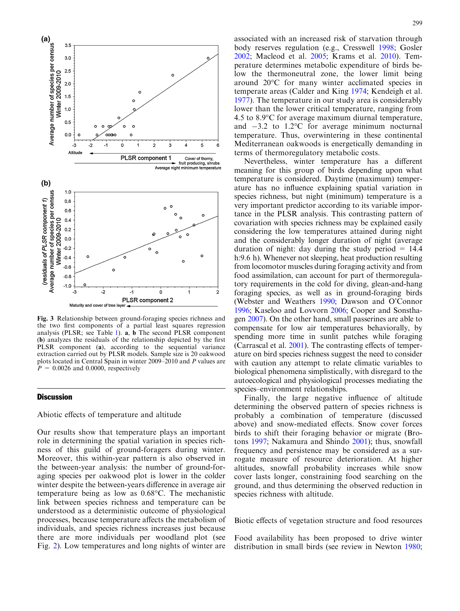<span id="page-6-0"></span>

Fig. 3 Relationship between ground-foraging species richness and the two first components of a partial least squares regression analysis (PLSR; see Table [1](#page-5-0)).  $a, b$  The second PLSR component (b) analyzes the residuals of the relationship depicted by the first PLSR component (a), according to the sequential variance extraction carried out by PLSR models. Sample size is 20 oakwood plots located in Central Spain in winter 2009–2010 and P values are  $= 0.0026$  and 0.0000, respectively

# **Discussion**

Abiotic effects of temperature and altitude

Our results show that temperature plays an important role in determining the spatial variation in species richness of this guild of ground-foragers during winter. Moreover, this within-year pattern is also observed in the between-year analysis: the number of ground-foraging species per oakwood plot is lower in the colder winter despite the between-years difference in average air temperature being as low as  $0.68^{\circ}$ C. The mechanistic link between species richness and temperature can be understood as a deterministic outcome of physiological processes, because temperature affects the metabolism of individuals, and species richness increases just because there are more individuals per woodland plot (see Fig. [2\)](#page-5-0). Low temperatures and long nights of winter are

associated with an increased risk of starvation through body reserves regulation (e.g., Cresswell [1998](#page-8-0); Gosler [2002;](#page-8-0) Macleod et al. [2005;](#page-9-0) Krams et al. [2010](#page-9-0)). Temperature determines metabolic expenditure of birds below the thermoneutral zone, the lower limit being around 20C for many winter acclimated species in temperate areas (Calder and King [1974;](#page-8-0) Kendeigh et al. [1977\)](#page-9-0). The temperature in our study area is considerably lower than the lower critical temperature, ranging from 4.5 to 8.9 °C for average maximum diurnal temperature, and  $-3.2$  to  $1.2^{\circ}$ C for average minimum nocturnal temperature. Thus, overwintering in these continental Mediterranean oakwoods is energetically demanding in terms of thermoregulatory metabolic costs.

Nevertheless, winter temperature has a different meaning for this group of birds depending upon what temperature is considered. Daytime (maximum) temperature has no influence explaining spatial variation in species richness, but night (minimum) temperature is a very important predictor according to its variable importance in the PLSR analysis. This contrasting pattern of covariation with species richness may be explained easily considering the low temperatures attained during night and the considerably longer duration of night (average duration of night: day during the study period  $= 14.4$ h:9.6 h). Whenever not sleeping, heat production resulting from locomotor muscles during foraging activity and from food assimilation, can account for part of thermoregulatory requirements in the cold for diving, glean-and-hang foraging species, as well as in ground-foraging birds (Webster and Weathers [1990;](#page-9-0) Dawson and O'Connor [1996](#page-8-0); Kaseloo and Lovvorn [2006](#page-9-0); Cooper and Sonsthagen [2007\)](#page-8-0). On the other hand, small passerines are able to compensate for low air temperatures behaviorally, by spending more time in sunlit patches while foraging (Carrascal et al. [2001](#page-8-0)). The contrasting effects of temperature on bird species richness suggest the need to consider with caution any attempt to relate climatic variables to biological phenomena simplistically, with disregard to the autoecological and physiological processes mediating the species–environment relationships.

Finally, the large negative influence of altitude determining the observed pattern of species richness is probably a combination of temperature (discussed above) and snow-mediated effects. Snow cover forces birds to shift their foraging behavior or migrate (Brotons [1997;](#page-8-0) Nakamura and Shindo [2001](#page-9-0)); thus, snowfall frequency and persistence may be considered as a surrogate measure of resource deterioration. At higher altitudes, snowfall probability increases while snow cover lasts longer, constraining food searching on the ground, and thus determining the observed reduction in species richness with altitude.

Biotic effects of vegetation structure and food resources

Food availability has been proposed to drive winter distribution in small birds (see review in Newton [1980](#page-9-0);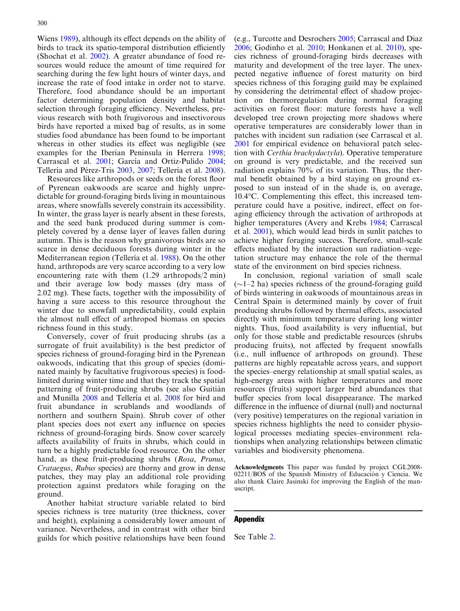<span id="page-7-0"></span>Wiens [1989\)](#page-9-0), although its effect depends on the ability of birds to track its spatio-temporal distribution efficiently (Shochat et al. [2002\)](#page-9-0). A greater abundance of food resources would reduce the amount of time required for searching during the few light hours of winter days, and increase the rate of food intake in order not to starve. Therefore, food abundance should be an important factor determining population density and habitat selection through foraging efficiency. Nevertheless, previous research with both frugivorous and insectivorous birds have reported a mixed bag of results, as in some studies food abundance has been found to be important whereas in other studies its effect was negligible (see examples for the Iberian Peninsula in Herrera [1998](#page-9-0); Carrascal et al. [2001;](#page-8-0) García and Ortiz-Pulido [2004](#page-8-0); Tellería and Pérez-Tris [2003,](#page-9-0) [2007](#page-9-0); Tellería et al. [2008\)](#page-9-0).

Resources like arthropods or seeds on the forest floor of Pyrenean oakwoods are scarce and highly unpredictable for ground-foraging birds living in mountainous areas, where snowfalls severely constrain its accessibility. In winter, the grass layer is nearly absent in these forests, and the seed bank produced during summer is completely covered by a dense layer of leaves fallen during autumn. This is the reason why granivorous birds are so scarce in dense deciduous forests during winter in the Mediterranean region (Tellería et al. [1988](#page-9-0)). On the other hand, arthropods are very scarce according to a very low encountering rate with them (1.29 arthropods/2 min) and their average low body masses (dry mass of 2.02 mg). These facts, together with the impossibility of having a sure access to this resource throughout the winter due to snowfall unpredictability, could explain the almost null effect of arthropod biomass on species richness found in this study.

Conversely, cover of fruit producing shrubs (as a surrogate of fruit availability) is the best predictor of species richness of ground-foraging bird in the Pyrenean oakwoods, indicating that this group of species (dominated mainly by facultative frugivorous species) is foodlimited during winter time and that they track the spatial patterning of fruit-producing shrubs (see also Guitián and Munilla [2008](#page-9-0) and Tellería et al. 2008 for bird and fruit abundance in scrublands and woodlands of northern and southern Spain). Shrub cover of other plant species does not exert any influence on species richness of ground-foraging birds. Snow cover scarcely affects availability of fruits in shrubs, which could in turn be a highly predictable food resource. On the other hand, as these fruit-producing shrubs (Rosa, Prunus, Crataegus, Rubus species) are thorny and grow in dense patches, they may play an additional role providing protection against predators while foraging on the ground.

Another habitat structure variable related to bird species richness is tree maturity (tree thickness, cover and height), explaining a considerably lower amount of variance. Nevertheless, and in contrast with other bird guilds for which positive relationships have been found

(e.g., Turcotte and Desrochers [2005;](#page-9-0) Carrascal and Diaz [2006;](#page-8-0) Godinho et al. [2010](#page-8-0); Honkanen et al. [2010](#page-9-0)), species richness of ground-foraging birds decreases with maturity and development of the tree layer. The unexpected negative influence of forest maturity on bird species richness of this foraging guild may be explained by considering the detrimental effect of shadow projection on thermoregulation during normal foraging activities on forest floor: mature forests have a well developed tree crown projecting more shadows where operative temperatures are considerably lower than in patches with incident sun radiation (see Carrascal et al. [2001](#page-8-0) for empirical evidence on behavioral patch selection with Certhia brachydactyla). Operative temperature on ground is very predictable, and the received sun radiation explains 70% of its variation. Thus, the thermal benefit obtained by a bird staying on ground exposed to sun instead of in the shade is, on average, 10.4°C. Complementing this effect, this increased temperature could have a positive, indirect, effect on foraging efficiency through the activation of arthropods at higher temperatures (Avery and Krebs [1984](#page-8-0); Carrascal et al. [2001\)](#page-8-0), which would lead birds in sunlit patches to achieve higher foraging success. Therefore, small-scale effects mediated by the interaction sun radiation–vegetation structure may enhance the role of the thermal state of the environment on bird species richness.

In conclusion, regional variation of small scale  $(\sim)1-2$  ha) species richness of the ground-foraging guild of birds wintering in oakwoods of mountainous areas in Central Spain is determined mainly by cover of fruit producing shrubs followed by thermal effects, associated directly with minimum temperature during long winter nights. Thus, food availability is very influential, but only for those stable and predictable resources (shrubs producing fruits), not affected by frequent snowfalls (i.e., null influence of arthropods on ground). These patterns are highly repeatable across years, and support the species–energy relationship at small spatial scales, as high-energy areas with higher temperatures and more resources (fruits) support larger bird abundances that buffer species from local disappearance. The marked difference in the influence of diurnal (null) and nocturnal (very positive) temperatures on the regional variation in species richness highlights the need to consider physiological processes mediating species–environment relationships when analyzing relationships between climatic variables and biodiversity phenomena.

Acknowledgments This paper was funded by project CGL2008-  $02211/BOS$  of the Spanish Ministry of Educación y Ciencia. We also thank Claire Jasinski for improving the English of the manuscript.

#### Appendix

See Table [2](#page-8-0).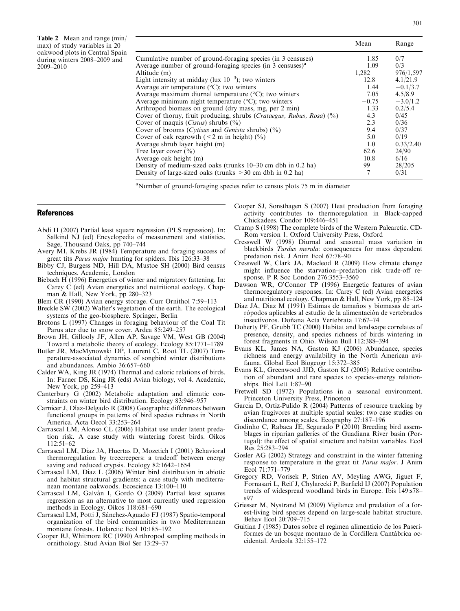<span id="page-8-0"></span>Table 2 Mean and range (min/ max) of study variables in 20 oakwood plots in Central Spain during winters 2008–2009 and 2009–2010

|                                                                            | Mean    | Range      |
|----------------------------------------------------------------------------|---------|------------|
| Cumulative number of ground-foraging species (in 3 censuses)               | 1.85    | 0/7        |
| Average number of ground-foraging species (in 3 censuses) <sup>a</sup>     | 1.09    | 0/3        |
| Altitude (m)                                                               | 1,282   | 976/1,597  |
| Light intensity at midday (lux $10^{-3}$ ); two winters                    | 12.8    | 4.1/21.9   |
| Average air temperature $({}^{\circ}C)$ ; two winters                      | 1.44    | $-0.1/3.7$ |
| Average maximum diurnal temperature (°C); two winters                      | 7.05    | 4.5/8.9    |
| Average minimum night temperature $(^{\circ}C)$ ; two winters              | $-0.75$ | $-3.0/1.2$ |
| Arthropod biomass on ground (dry mass, mg, per 2 min)                      | 1.33    | 0.2/5.4    |
| Cover of thorny, fruit producing, shrubs (Crataegus, Rubus, Rosa) (%)      | 4.3     | 0/45       |
| Cover of maquis ( <i>Cistus</i> ) shrubs $(\%$ )                           | 2.3     | 0/36       |
| Cover of brooms ( <i>Cytisus</i> and <i>Genista</i> shrubs) $\binom{0}{0}$ | 9.4     | 0/37       |
| Cover of oak regrowth $(< 2$ m in height) $(\%)$                           | 5.0     | 0/19       |
| Average shrub layer height (m)                                             | 1.0     | 0.33/2.40  |
| Tree layer cover $(\% )$                                                   | 62.6    | 24/90      |
| Average oak height (m)                                                     | 10.8    | 6/16       |
| Density of medium-sized oaks (trunks $10-30$ cm dbh in 0.2 ha)             | 99.     | 28/205     |
| Density of large-sized oaks (trunks $>$ 30 cm dbh in 0.2 ha)               |         | 0/31       |

<sup>a</sup>Number of ground-foraging species refer to census plots 75 m in diameter

#### References

- Abdi H (2007) Partial least square regression (PLS regression). In: Salkind NJ (ed) Encyclopedia of measurement and statistics. Sage, Thousand Oaks, pp 740–744
- Avery MI, Krebs JR (1984) Temperature and foraging success of great tits Parus major hunting for spiders. Ibis 126:33–38
- Bibby CJ, Burgess ND, Hill DA, Mustoe SH (2000) Bird census techniques. Academic, London
- Biebach H (1996) Energetics of winter and migratory fattening. In: Carey C (ed) Avian energetics and nutritional ecology. Chapman & Hall, New York, pp 280–323
- Blem CR (1990) Avian energy storage. Curr Ornithol 7:59–113
- Breckle SW (2002) Walter's vegetation of the earth. The ecological systems of the geo-biosphere. Springer, Berlin
- Brotons L (1997) Changes in foraging behaviour of the Coal Tit Parus ater due to snow cover. Ardea 85:249–257
- Brown JH, Gillooly JF, Allen AP, Savage VM, West GB (2004) Toward a metabolic theory of ecology. Ecology 85:1771–1789
- Butler JR, MacMynowski DP, Laurent C, Root TL (2007) Temperature-associated dynamics of songbird winter distributions and abundances. Ambio 36:657–660
- Calder WA, King JR (1974) Thermal and caloric relations of birds. In: Farner DS, King JR (eds) Avian biology, vol 4. Academic, New York, pp 259–413
- Canterbury  $\vec{G}$  (2002) Metabolic adaptation and climatic constraints on winter bird distribution. Ecology 83:946–957
- Carnicer J, Díaz-Delgado R (2008) Geographic differences between functional groups in patterns of bird species richness in North America. Acta Oecol 33:253–264
- Carrascal LM, Alonso CL (2006) Habitat use under latent predation risk. A case study with wintering forest birds. Oikos 112:51–62
- Carrascal LM, Díaz JA, Huertas D, Mozetich I (2001) Behavioral thermoregulation by treecreepers: a tradeoff between energy saving and reduced crypsis. Ecology 82:1642–1654
- Carrascal LM, Diaz L (2006) Winter bird distribution in abiotic and habitat structural gradients: a case study with mediterranean montane oakwoods. Ecoscience 13:100–110
- Carrascal LM, Galván I, Gordo O (2009) Partial least squares regression as an alternative to most currently used regression methods in Ecology. Oikos 118:681–690
- Carrascal LM, Potti J, Sánchez-Aguado FJ (1987) Spatio-temporal organization of the bird communities in two Mediterranean montane forests. Holarctic Ecol 10:185–192
- Cooper RJ, Whitmore RC (1990) Arthropod sampling methods in ornithology. Stud Avian Biol Ser 13:29–37
- Cooper SJ, Sonsthagen S (2007) Heat production from foraging activity contributes to thermoregulation in Black-capped Chickadees. Condor 109:446–451
- Cramp S (1998) The complete birds of the Western Palearctic. CD-Rom version 1. Oxford University Press, Oxford
- Cresswell W (1998) Diurnal and seasonal mass variation in blackbirds Turdus merula: consequences for mass dependent predation risk. J Anim Ecol 67:78–90
- Cresswell W, Clark JA, Macleod R (2009) How climate change might influence the starvation–predation risk trade-off response. P R Soc London 276:3553–3560
- Dawson WR, O'Connor TP (1996) Energetic features of avian thermoregulatory responses. In: Carey C (ed) Avian energetics and nutritional ecology. Chapman & Hall, New York, pp 85–124
- Diaz JA, Diaz M (1991) Estimas de tamaños y biomasas de artrópodos aplicables al estudio de la alimentación de vertebrados insectívoros. Doñana Acta Vertebrata 17:67-74
- Doherty PF, Grubb TC (2000) Habitat and landscape correlates of presence, density, and species richness of birds wintering in forest fragments in Ohio. Wilson Bull 112:388–394
- Evans KL, James NA, Gaston KJ (2006) Abundance, species richness and energy availability in the North American avifauna. Global Ecol Biogeogr 15:372–385
- Evans KL, Greenwood JJD, Gaston KJ (2005) Relative contribution of abundant and rare species to species–energy relationships. Biol Lett 1:87–90
- Fretwell SD (1972) Populations in a seasonal environment. Princeton University Press, Princeton
- García D, Ortiz-Pulido R (2004) Patterns of resource tracking by avian frugivores at multiple spatial scales: two case studies on discordance among scales. Ecography 27:187–196
- Godinho C, Rabaca JE, Segurado P (2010) Breeding bird assemblages in riparian galleries of the Guadiana River basin (Portugal): the effect of spatial structure and habitat variables. Ecol Res 25:283–294
- Gosler AG (2002) Strategy and constraint in the winter fattening response to temperature in the great tit Parus major. J Anim Ecol 71:771–779
- Gregory RD, Vorisek P, Strien AV, Meyling AWG, Jiguet F, Fornasari L, Reif J, Chylarecki P, Burfield IJ (2007) Population trends of widespread woodland birds in Europe. Ibis 149:s78– s97
- Griesser M, Nystrand M (2009) Vigilance and predation of a forest-living bird species depend on large-scale habitat structure. Behav Ecol 20:709–715
- Guitian J (1985) Datos sobre el regimen alimenticio de los Paseriformes de un bosque montano de la Cordillera Cantábrica occidental. Ardeola 32:155–172